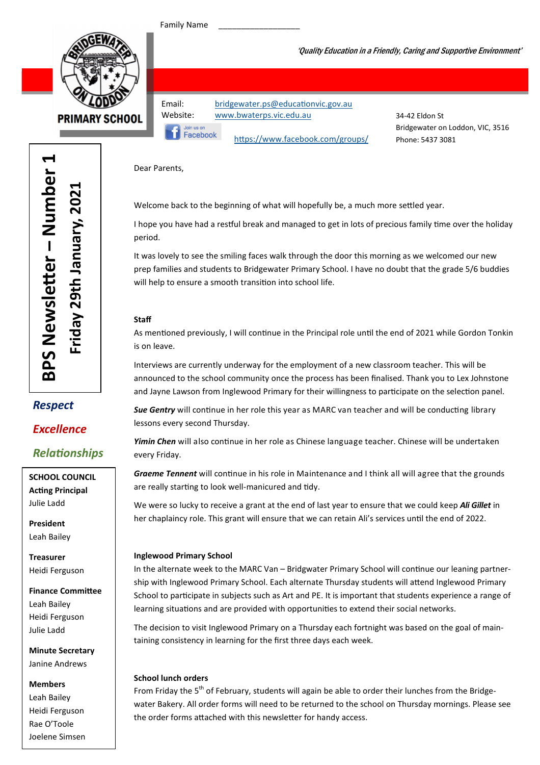Family Name



**PRIMARY SCHOOL** 

Email: bridgewater.ps@educationvic.gov.au Website: www.bwaterps.vic.edu.au



https://www.facebook.com/groups/

34-42 Eldon St Bridgewater on Loddon, VIC, 3516 Phone: 5437 3081

'Quality Education in a Friendly, Caring and Supportive Environment'

Dear Parents,

Welcome back to the beginning of what will hopefully be, a much more settled year.

I hope you have had a restful break and managed to get in lots of precious family time over the holiday period.

It was lovely to see the smiling faces walk through the door this morning as we welcomed our new prep families and students to Bridgewater Primary School. I have no doubt that the grade 5/6 buddies will help to ensure a smooth transition into school life.

#### **Staff**

As mentioned previously, I will continue in the Principal role until the end of 2021 while Gordon Tonkin is on leave.

Interviews are currently underway for the employment of a new classroom teacher. This will be announced to the school community once the process has been finalised. Thank you to Lex Johnstone and Jayne Lawson from Inglewood Primary for their willingness to participate on the selection panel.

Sue Gentry will continue in her role this year as MARC van teacher and will be conducting library lessons every second Thursday.

Yimin Chen will also continue in her role as Chinese language teacher. Chinese will be undertaken every Friday.

Graeme Tennent will continue in his role in Maintenance and I think all will agree that the grounds are really starting to look well-manicured and tidy.

We were so lucky to receive a grant at the end of last year to ensure that we could keep *Ali Gillet* in her chaplaincy role. This grant will ensure that we can retain Ali's services until the end of 2022.

#### Inglewood Primary School

In the alternate week to the MARC Van - Bridgwater Primary School will continue our leaning partnership with Inglewood Primary School. Each alternate Thursday students will attend Inglewood Primary School to participate in subjects such as Art and PE. It is important that students experience a range of learning situations and are provided with opportunities to extend their social networks.

The decision to visit Inglewood Primary on a Thursday each fortnight was based on the goal of maintaining consistency in learning for the first three days each week.

#### School lunch orders

From Friday the 5<sup>th</sup> of February, students will again be able to order their lunches from the Bridgewater Bakery. All order forms will need to be returned to the school on Thursday mornings. Please see the order forms attached with this newsletter for handy access.

er – Number 1  $\blacktriangleleft$ BPS Newsletter - Number Friday 29th January, 2021 Friday 29th January, 2021 BPS Newsle

## Respect

### Excellence

### Relationships

SCHOOL COUNCIL **Acting Principal** Julie Ladd

President Leah Bailey

Treasurer Heidi Ferguson

Finance Committee Leah Bailey Heidi Ferguson Julie Ladd

Minute Secretary Janine Andrews

#### Members

Leah Bailey Heidi Ferguson Rae O'Toole Joelene Simsen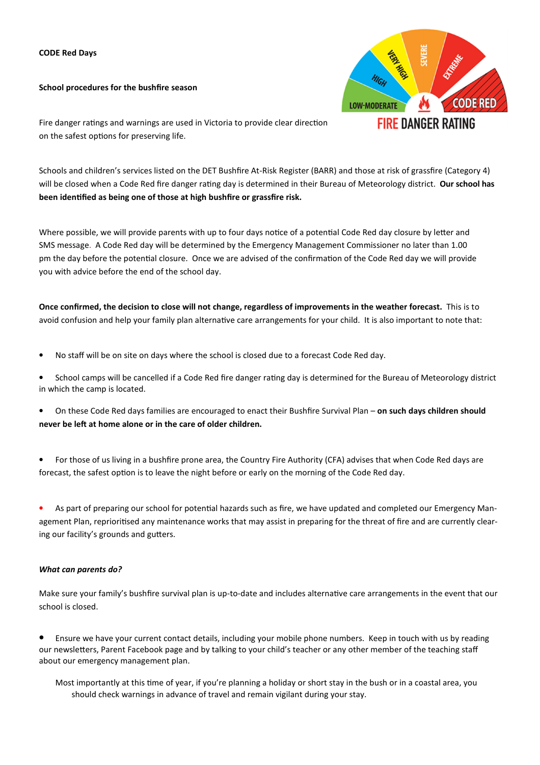#### CODE Red Days

School procedures for the bushfire season



Fire danger ratings and warnings are used in Victoria to provide clear direction on the safest options for preserving life.

Schools and children's services listed on the DET Bushfire At-Risk Register (BARR) and those at risk of grassfire (Category 4) will be closed when a Code Red fire danger rating day is determined in their Bureau of Meteorology district. Our school has been identified as being one of those at high bushfire or grassfire risk.

Where possible, we will provide parents with up to four days notice of a potential Code Red day closure by letter and SMS message. A Code Red day will be determined by the Emergency Management Commissioner no later than 1.00 pm the day before the potential closure. Once we are advised of the confirmation of the Code Red day we will provide you with advice before the end of the school day.

Once confirmed, the decision to close will not change, regardless of improvements in the weather forecast. This is to avoid confusion and help your family plan alternative care arrangements for your child. It is also important to note that:

- No staff will be on site on days where the school is closed due to a forecast Code Red day.
- School camps will be cancelled if a Code Red fire danger rating day is determined for the Bureau of Meteorology district in which the camp is located.
- On these Code Red days families are encouraged to enact their Bushfire Survival Plan on such days children should never be left at home alone or in the care of older children.
- For those of us living in a bushfire prone area, the Country Fire Authority (CFA) advises that when Code Red days are forecast, the safest option is to leave the night before or early on the morning of the Code Red day.

• As part of preparing our school for potential hazards such as fire, we have updated and completed our Emergency Management Plan, reprioritised any maintenance works that may assist in preparing for the threat of fire and are currently clearing our facility's grounds and gutters.

#### What can parents do?

Make sure your family's bushfire survival plan is up-to-date and includes alternative care arrangements in the event that our school is closed.

• Ensure we have your current contact details, including your mobile phone numbers. Keep in touch with us by reading our newsletters, Parent Facebook page and by talking to your child's teacher or any other member of the teaching staff about our emergency management plan.

Most importantly at this time of year, if you're planning a holiday or short stay in the bush or in a coastal area, you should check warnings in advance of travel and remain vigilant during your stay.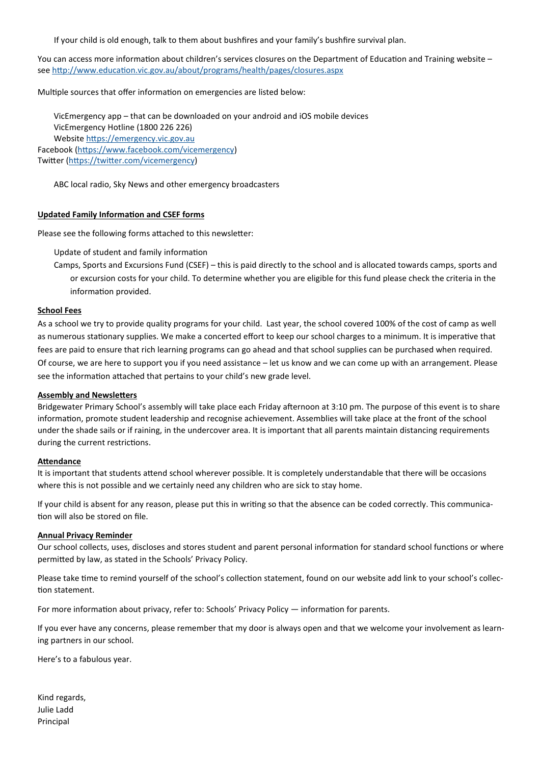If your child is old enough, talk to them about bushfires and your family's bushfire survival plan.

You can access more information about children's services closures on the Department of Education and Training website – see http://www.education.vic.gov.au/about/programs/health/pages/closures.aspx

Multiple sources that offer information on emergencies are listed below:

VicEmergency app – that can be downloaded on your android and iOS mobile devices VicEmergency Hotline (1800 226 226) Website https://emergency.vic.gov.au Facebook (https://www.facebook.com/vicemergency) Twitter (https://twitter.com/vicemergency)

ABC local radio, Sky News and other emergency broadcasters

#### Updated Family Information and CSEF forms

Please see the following forms attached to this newsletter:

Update of student and family information

Camps, Sports and Excursions Fund (CSEF) – this is paid directly to the school and is allocated towards camps, sports and or excursion costs for your child. To determine whether you are eligible for this fund please check the criteria in the information provided.

#### School Fees

As a school we try to provide quality programs for your child. Last year, the school covered 100% of the cost of camp as well as numerous stationary supplies. We make a concerted effort to keep our school charges to a minimum. It is imperative that fees are paid to ensure that rich learning programs can go ahead and that school supplies can be purchased when required. Of course, we are here to support you if you need assistance – let us know and we can come up with an arrangement. Please see the information attached that pertains to your child's new grade level.

#### **Assembly and Newsletters**

Bridgewater Primary School's assembly will take place each Friday afternoon at 3:10 pm. The purpose of this event is to share information, promote student leadership and recognise achievement. Assemblies will take place at the front of the school under the shade sails or if raining, in the undercover area. It is important that all parents maintain distancing requirements during the current restrictions.

#### Attendance

It is important that students attend school wherever possible. It is completely understandable that there will be occasions where this is not possible and we certainly need any children who are sick to stay home.

If your child is absent for any reason, please put this in writing so that the absence can be coded correctly. This communication will also be stored on file.

#### Annual Privacy Reminder

Our school collects, uses, discloses and stores student and parent personal information for standard school functions or where permitted by law, as stated in the Schools' Privacy Policy.

Please take time to remind yourself of the school's collection statement, found on our website add link to your school's collection statement.

For more information about privacy, refer to: Schools' Privacy Policy — information for parents.

If you ever have any concerns, please remember that my door is always open and that we welcome your involvement as learning partners in our school.

Here's to a fabulous year.

Kind regards, Julie Ladd Principal